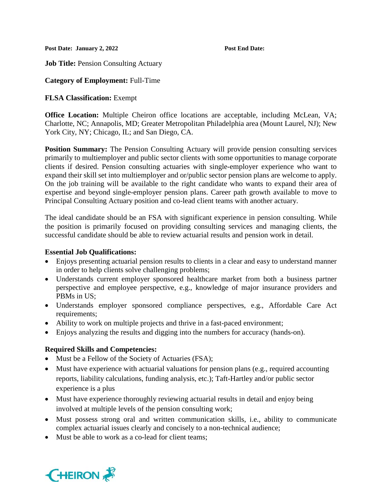**Post Date: January 2, 2022 Post End Date:** 

**Job Title: Pension Consulting Actuary** 

# **Category of Employment:** Full-Time

# **FLSA Classification:** Exempt

**Office Location:** Multiple Cheiron office locations are acceptable, including McLean, VA; Charlotte, NC; Annapolis, MD; Greater Metropolitan Philadelphia area (Mount Laurel, NJ); New York City, NY; Chicago, IL; and San Diego, CA.

**Position Summary:** The Pension Consulting Actuary will provide pension consulting services primarily to multiemployer and public sector clients with some opportunities to manage corporate clients if desired. Pension consulting actuaries with single-employer experience who want to expand their skill set into multiemployer and or/public sector pension plans are welcome to apply. On the job training will be available to the right candidate who wants to expand their area of expertise and beyond single-employer pension plans. Career path growth available to move to Principal Consulting Actuary position and co-lead client teams with another actuary.

The ideal candidate should be an FSA with significant experience in pension consulting. While the position is primarily focused on providing consulting services and managing clients, the successful candidate should be able to review actuarial results and pension work in detail.

### **Essential Job Qualifications:**

- Enjoys presenting actuarial pension results to clients in a clear and easy to understand manner in order to help clients solve challenging problems;
- Understands current employer sponsored healthcare market from both a business partner perspective and employee perspective, e.g., knowledge of major insurance providers and PBMs in US;
- Understands employer sponsored compliance perspectives, e.g., Affordable Care Act requirements;
- Ability to work on multiple projects and thrive in a fast-paced environment;
- Enjoys analyzing the results and digging into the numbers for accuracy (hands-on).

# **Required Skills and Competencies:**

- Must be a Fellow of the Society of Actuaries (FSA);
- Must have experience with actuarial valuations for pension plans (e.g., required accounting reports, liability calculations, funding analysis, etc.); Taft-Hartley and/or public sector experience is a plus
- Must have experience thoroughly reviewing actuarial results in detail and enjoy being involved at multiple levels of the pension consulting work;
- Must possess strong oral and written communication skills, i.e., ability to communicate complex actuarial issues clearly and concisely to a non-technical audience;
- Must be able to work as a co-lead for client teams:

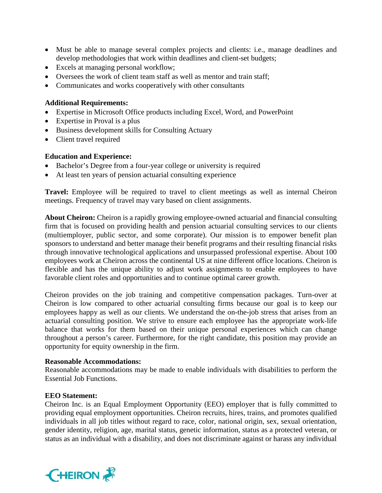- Must be able to manage several complex projects and clients: i.e., manage deadlines and develop methodologies that work within deadlines and client-set budgets;
- Excels at managing personal workflow;
- Oversees the work of client team staff as well as mentor and train staff;
- Communicates and works cooperatively with other consultants

### **Additional Requirements:**

- Expertise in Microsoft Office products including Excel, Word, and PowerPoint
- Expertise in Proval is a plus
- Business development skills for Consulting Actuary
- Client travel required

### **Education and Experience:**

- Bachelor's Degree from a four-year college or university is required
- At least ten years of pension actuarial consulting experience

**Travel:** Employee will be required to travel to client meetings as well as internal Cheiron meetings. Frequency of travel may vary based on client assignments.

**About Cheiron:** Cheiron is a rapidly growing employee-owned actuarial and financial consulting firm that is focused on providing health and pension actuarial consulting services to our clients (multiemployer, public sector, and some corporate). Our mission is to empower benefit plan sponsors to understand and better manage their benefit programs and their resulting financial risks through innovative technological applications and unsurpassed professional expertise. About 100 employees work at Cheiron across the continental US at nine different office locations. Cheiron is flexible and has the unique ability to adjust work assignments to enable employees to have favorable client roles and opportunities and to continue optimal career growth.

Cheiron provides on the job training and competitive compensation packages. Turn-over at Cheiron is low compared to other actuarial consulting firms because our goal is to keep our employees happy as well as our clients. We understand the on-the-job stress that arises from an actuarial consulting position. We strive to ensure each employee has the appropriate work-life balance that works for them based on their unique personal experiences which can change throughout a person's career. Furthermore, for the right candidate, this position may provide an opportunity for equity ownership in the firm.

#### **Reasonable Accommodations:**

Reasonable accommodations may be made to enable individuals with disabilities to perform the Essential Job Functions.

#### **EEO Statement:**

Cheiron Inc. is an Equal Employment Opportunity (EEO) employer that is fully committed to providing equal employment opportunities. Cheiron recruits, hires, trains, and promotes qualified individuals in all job titles without regard to race, color, national origin, sex, sexual orientation, gender identity, religion, age, marital status, genetic information, status as a protected veteran, or status as an individual with a disability, and does not discriminate against or harass any individual